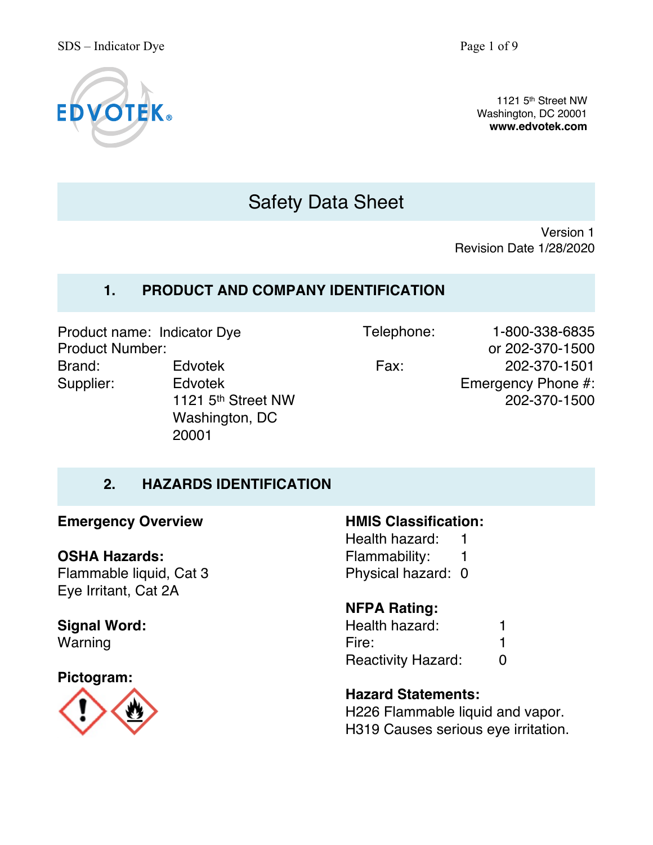

1121 5th Street NW Washington, DC 20001 **www.edvotek.com**

# Safety Data Sheet

Version 1 Revision Date 1/28/2020

# **1. PRODUCT AND COMPANY IDENTIFICATION**

Product name: Indicator Dye Product Number: Brand: Edvotek Supplier: Edvotek

1121 5th Street NW Washington, DC 20001

Telephone: 1-800-338-6835 or 202-370-1500 Fax: 202-370-1501 Emergency Phone #: 202-370-1500

# **2. HAZARDS IDENTIFICATION**

#### **Emergency Overview**

#### **OSHA Hazards:**

Flammable liquid, Cat 3 Eye Irritant, Cat 2A

# **Signal Word:**

Warning

#### **Pictogram:**



### **HMIS Classification:**

Health hazard: 1 Flammability: 1 Physical hazard: 0

# **NFPA Rating:**

Health hazard: 1 Fire: 1 Reactivity Hazard: 0

# **Hazard Statements:**

H226 Flammable liquid and vapor. H319 Causes serious eye irritation.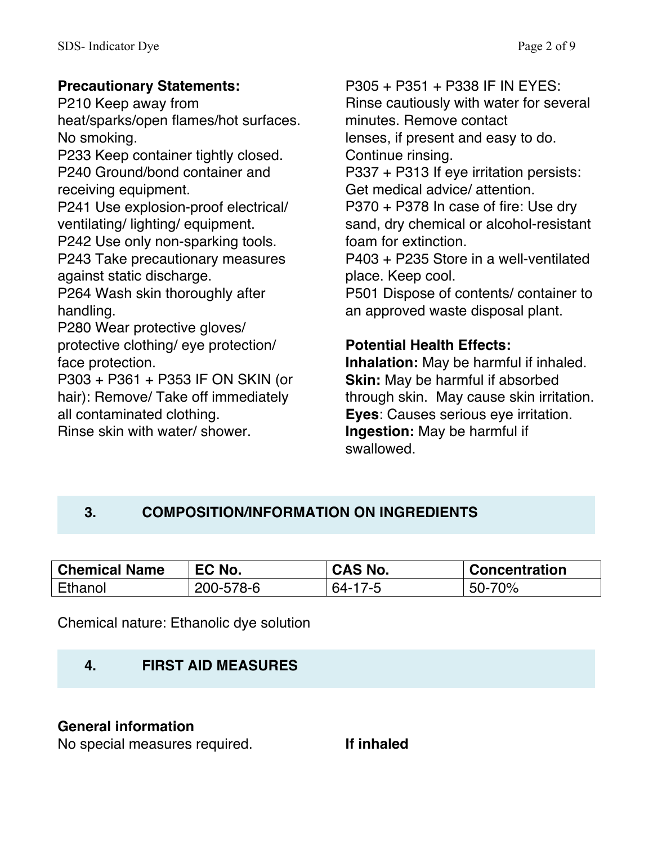# **Precautionary Statements:**

P210 Keep away from heat/sparks/open flames/hot surfaces. No smoking.

P233 Keep container tightly closed. P240 Ground/bond container and receiving equipment.

P241 Use explosion-proof electrical/ ventilating/ lighting/ equipment.

P242 Use only non-sparking tools.

P243 Take precautionary measures against static discharge.

P264 Wash skin thoroughly after handling.

P280 Wear protective gloves/ protective clothing/ eye protection/ face protection.

P303 + P361 + P353 IF ON SKIN (or hair): Remove/ Take off immediately all contaminated clothing.

Rinse skin with water/ shower.

P305 + P351 + P338 IF IN EYES: Rinse cautiously with water for several minutes. Remove contact lenses, if present and easy to do. Continue rinsing. P337 + P313 If eye irritation persists: Get medical advice/ attention. P370 + P378 In case of fire: Use dry sand, dry chemical or alcohol-resistant foam for extinction. P403 + P235 Store in a well-ventilated place. Keep cool. P501 Dispose of contents/ container to an approved waste disposal plant.

# **Potential Health Effects:**

**Inhalation:** May be harmful if inhaled. **Skin:** May be harmful if absorbed through skin. May cause skin irritation. **Eyes**: Causes serious eye irritation. **Ingestion:** May be harmful if swallowed.

# **3. COMPOSITION/INFORMATION ON INGREDIENTS**

| <b>Chemical Name</b> | EC No.    | CAS No. | <b>Concentration</b> |
|----------------------|-----------|---------|----------------------|
| Ethanol              | 200-578-6 | 64-17-5 | 50-70%               |

Chemical nature: Ethanolic dye solution

# **4. FIRST AID MEASURES**

# **General information**

No special measures required. **If inhaled**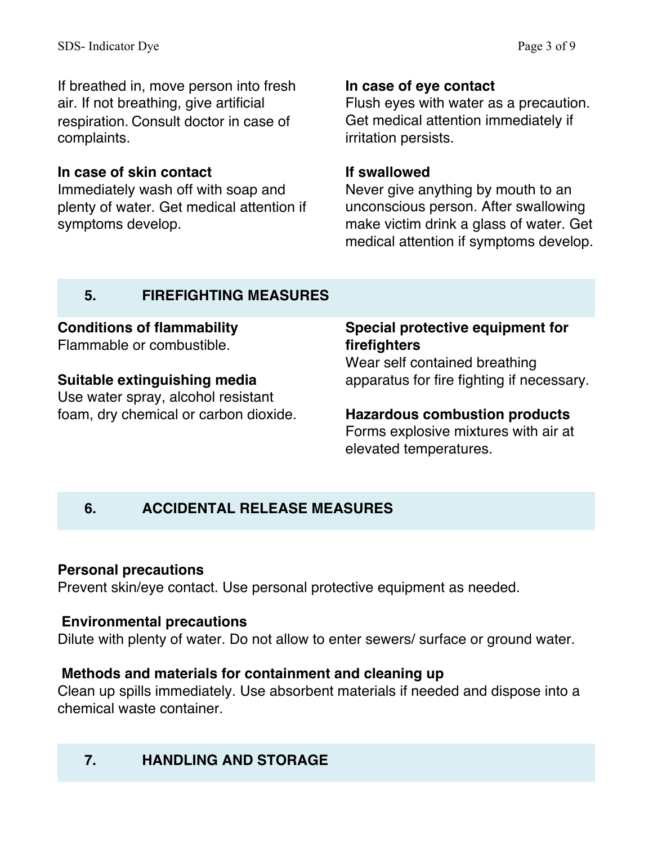If breathed in, move person into fresh air. If not breathing, give artificial respiration. Consult doctor in case of complaints.

# **In case of skin contact**

Immediately wash off with soap and plenty of water. Get medical attention if symptoms develop.

# **In case of eye contact**

Flush eyes with water as a precaution. Get medical attention immediately if irritation persists.

## **If swallowed**

Never give anything by mouth to an unconscious person. After swallowing make victim drink a glass of water. Get medical attention if symptoms develop.

# **5. FIREFIGHTING MEASURES**

# **Conditions of flammability**

Flammable or combustible.

# **Suitable extinguishing media**

Use water spray, alcohol resistant foam, dry chemical or carbon dioxide.

# **Special protective equipment for firefighters**

Wear self contained breathing apparatus for fire fighting if necessary.

# **Hazardous combustion products**

Forms explosive mixtures with air at elevated temperatures.

# **6. ACCIDENTAL RELEASE MEASURES**

# **Personal precautions**

Prevent skin/eye contact. Use personal protective equipment as needed.

# **Environmental precautions**

Dilute with plenty of water. Do not allow to enter sewers/ surface or ground water.

# **Methods and materials for containment and cleaning up**

Clean up spills immediately. Use absorbent materials if needed and dispose into a chemical waste container.

# **7. HANDLING AND STORAGE**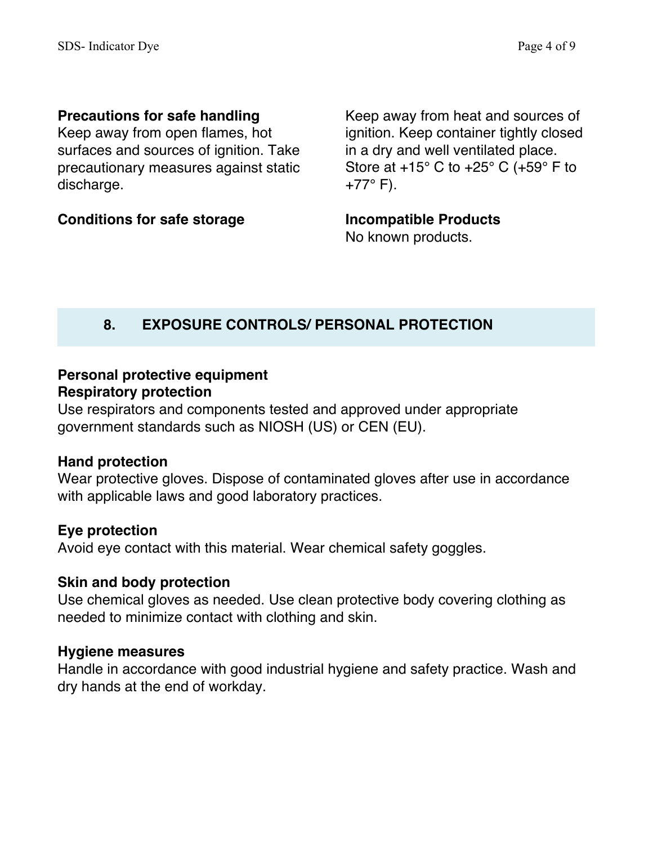# **Precautions for safe handling**

Keep away from open flames, hot surfaces and sources of ignition. Take precautionary measures against static discharge.

**Conditions for safe storage**

Keep away from heat and sources of ignition. Keep container tightly closed in a dry and well ventilated place. Store at  $+15^{\circ}$  C to  $+25^{\circ}$  C ( $+59^{\circ}$  F to  $+77^{\circ}$  F).

**Incompatible Products**

No known products.

# **8. EXPOSURE CONTROLS/ PERSONAL PROTECTION**

# **Personal protective equipment Respiratory protection**

Use respirators and components tested and approved under appropriate government standards such as NIOSH (US) or CEN (EU).

### **Hand protection**

Wear protective gloves. Dispose of contaminated gloves after use in accordance with applicable laws and good laboratory practices.

### **Eye protection**

Avoid eye contact with this material. Wear chemical safety goggles.

### **Skin and body protection**

Use chemical gloves as needed. Use clean protective body covering clothing as needed to minimize contact with clothing and skin.

### **Hygiene measures**

Handle in accordance with good industrial hygiene and safety practice. Wash and dry hands at the end of workday.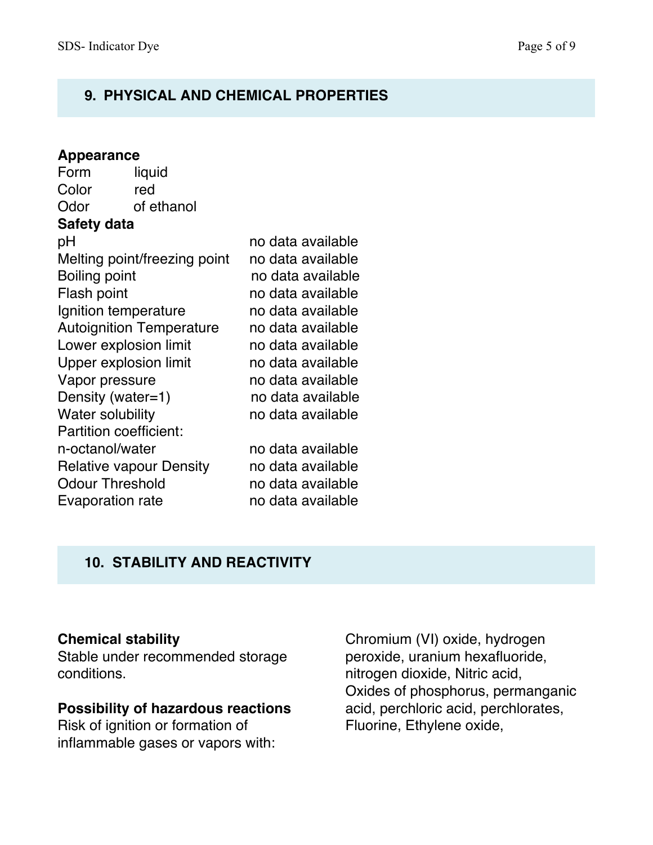# **9. PHYSICAL AND CHEMICAL PROPERTIES**

| <b>Appearance</b>               |            |                   |  |  |
|---------------------------------|------------|-------------------|--|--|
| Form                            | liquid     |                   |  |  |
| Color                           | red        |                   |  |  |
| Odor                            | of ethanol |                   |  |  |
| <b>Safety data</b>              |            |                   |  |  |
| рH                              |            | no data available |  |  |
| Melting point/freezing point    |            | no data available |  |  |
| Boiling point                   |            | no data available |  |  |
| Flash point                     |            | no data available |  |  |
| Ignition temperature            |            | no data available |  |  |
| <b>Autoignition Temperature</b> |            | no data available |  |  |
| Lower explosion limit           |            | no data available |  |  |
| <b>Upper explosion limit</b>    |            | no data available |  |  |
| Vapor pressure                  |            | no data available |  |  |
| Density (water=1)               |            | no data available |  |  |
| Water solubility                |            | no data available |  |  |
| <b>Partition coefficient:</b>   |            |                   |  |  |
| n-octanol/water                 |            | no data available |  |  |
| <b>Relative vapour Density</b>  |            | no data available |  |  |
| <b>Odour Threshold</b>          |            | no data available |  |  |
| <b>Evaporation rate</b>         |            | no data available |  |  |

# **10. STABILITY AND REACTIVITY**

# **Chemical stability**

Stable under recommended storage conditions.

### **Possibility of hazardous reactions**

Risk of ignition or formation of inflammable gases or vapors with:

Chromium (VI) oxide, hydrogen peroxide, uranium hexafluoride, nitrogen dioxide, Nitric acid, Oxides of phosphorus, permanganic acid, perchloric acid, perchlorates, Fluorine, Ethylene oxide,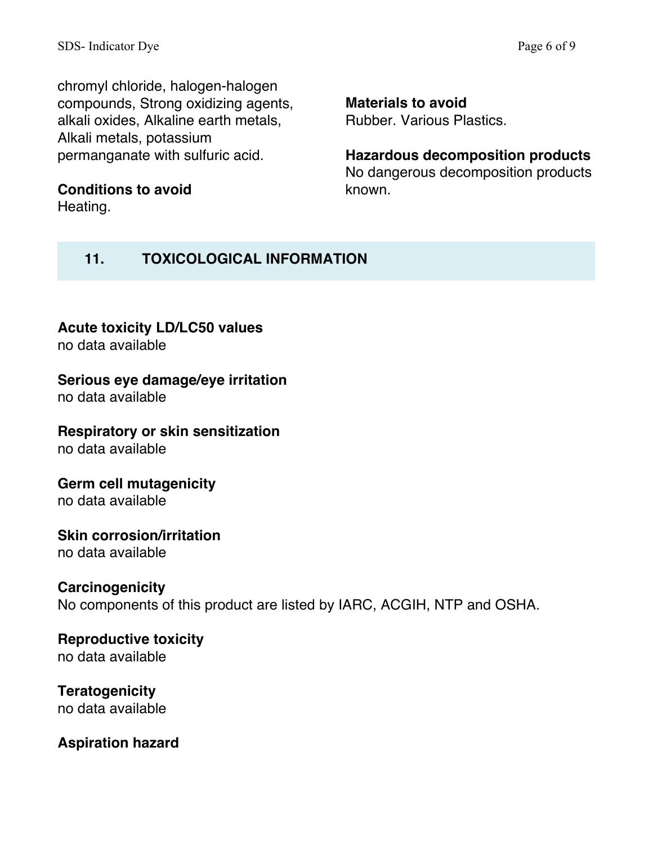chromyl chloride, halogen-halogen compounds, Strong oxidizing agents, alkali oxides, Alkaline earth metals, Alkali metals, potassium permanganate with sulfuric acid.

**Conditions to avoid** Heating.

**Materials to avoid**

known.

Rubber. Various Plastics.

**Hazardous decomposition products** No dangerous decomposition products

# **11. TOXICOLOGICAL INFORMATION**

# **Acute toxicity LD/LC50 values**

no data available

### **Serious eye damage/eye irritation**

no data available

# **Respiratory or skin sensitization**

no data available

#### **Germ cell mutagenicity** no data available

### **Skin corrosion/irritation** no data available

# **Carcinogenicity**

No components of this product are listed by IARC, ACGIH, NTP and OSHA.

# **Reproductive toxicity** no data available

### **Teratogenicity** no data available

# **Aspiration hazard**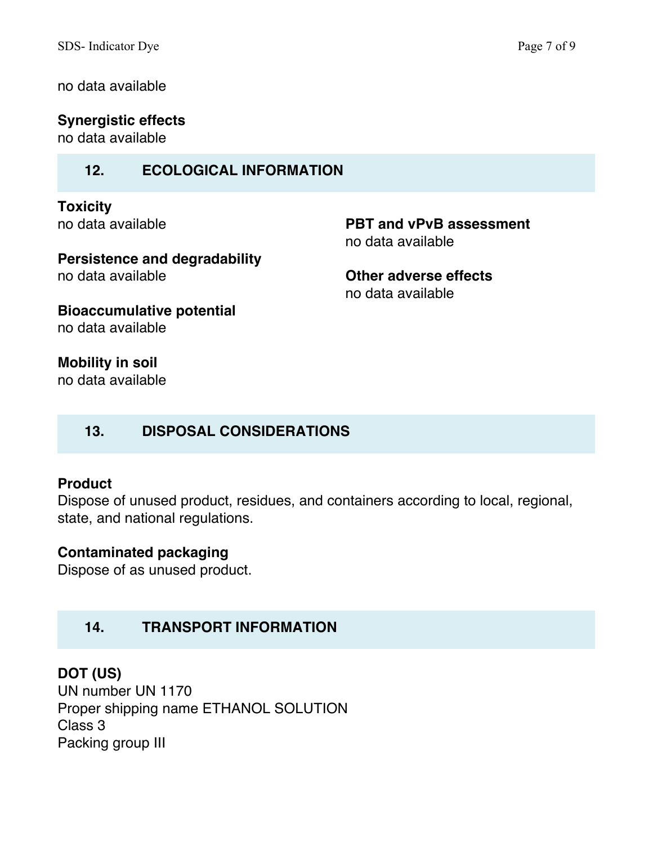no data available

**Synergistic effects**

no data available

### **12. ECOLOGICAL INFORMATION**

**Toxicity** no data available

**PBT and vPvB assessment** no data available

**Persistence and degradability** no data available

**Other adverse effects** no data available

**Bioaccumulative potential** no data available

**Mobility in soil** no data available

# **13. DISPOSAL CONSIDERATIONS**

### **Product**

Dispose of unused product, residues, and containers according to local, regional, state, and national regulations.

### **Contaminated packaging**

Dispose of as unused product.

# **14. TRANSPORT INFORMATION**

# **DOT (US)**

UN number UN 1170 Proper shipping name ETHANOL SOLUTION Class 3 Packing group III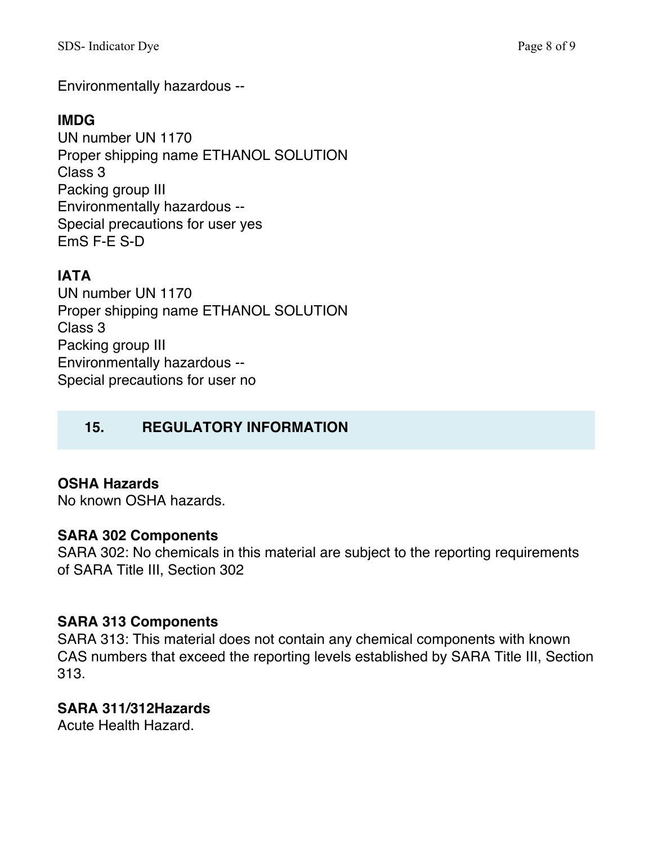Environmentally hazardous --

# **IMDG**

UN number UN 1170 Proper shipping name ETHANOL SOLUTION Class 3 Packing group III Environmentally hazardous -- Special precautions for user yes EmS F-E S-D

# **IATA**

UN number UN 1170 Proper shipping name ETHANOL SOLUTION Class 3 Packing group III Environmentally hazardous -- Special precautions for user no

# **15. REGULATORY INFORMATION**

# **OSHA Hazards**

No known OSHA hazards.

# **SARA 302 Components**

SARA 302: No chemicals in this material are subject to the reporting requirements of SARA Title III, Section 302

# **SARA 313 Components**

SARA 313: This material does not contain any chemical components with known CAS numbers that exceed the reporting levels established by SARA Title III, Section 313.

# **SARA 311/312Hazards**

Acute Health Hazard.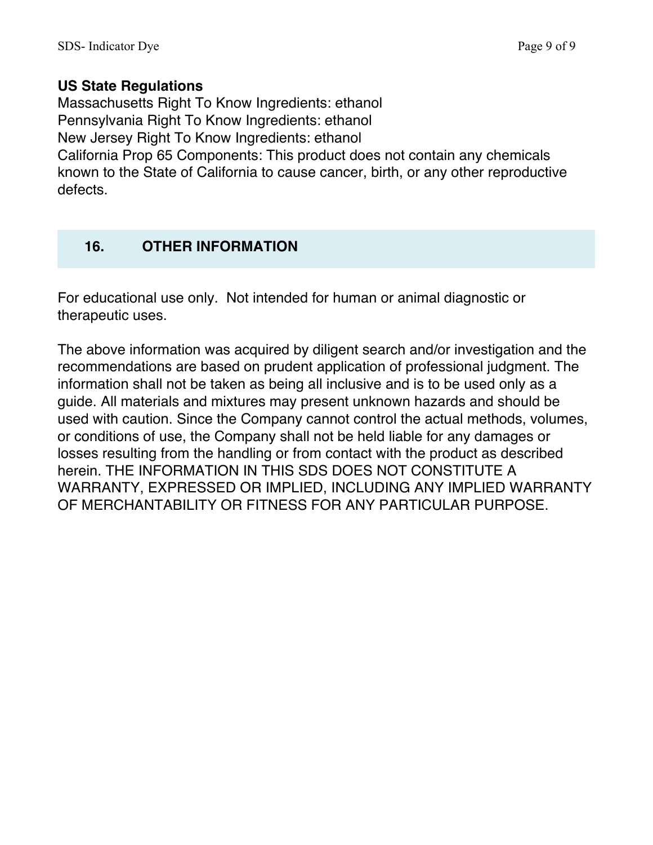### **US State Regulations**

Massachusetts Right To Know Ingredients: ethanol Pennsylvania Right To Know Ingredients: ethanol New Jersey Right To Know Ingredients: ethanol California Prop 65 Components: This product does not contain any chemicals known to the State of California to cause cancer, birth, or any other reproductive defects.

# **16. OTHER INFORMATION**

For educational use only. Not intended for human or animal diagnostic or therapeutic uses.

The above information was acquired by diligent search and/or investigation and the recommendations are based on prudent application of professional judgment. The information shall not be taken as being all inclusive and is to be used only as a guide. All materials and mixtures may present unknown hazards and should be used with caution. Since the Company cannot control the actual methods, volumes, or conditions of use, the Company shall not be held liable for any damages or losses resulting from the handling or from contact with the product as described herein. THE INFORMATION IN THIS SDS DOES NOT CONSTITUTE A WARRANTY, EXPRESSED OR IMPLIED, INCLUDING ANY IMPLIED WARRANTY OF MERCHANTABILITY OR FITNESS FOR ANY PARTICULAR PURPOSE.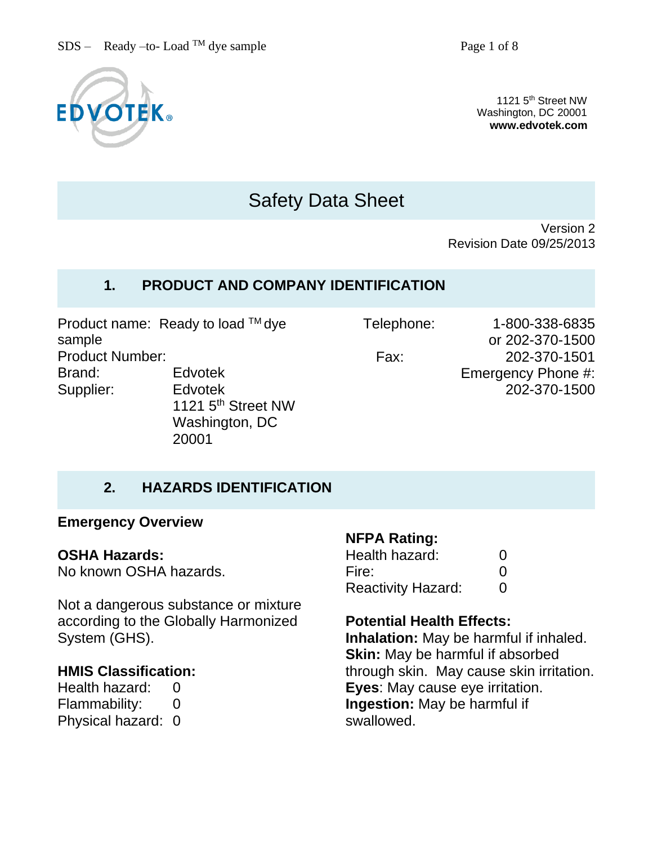

1121 5<sup>th</sup> Street NW Washington, DC 20001 **www.edvotek.com**

# Safety Data Sheet

Version 2 Revision Date 09/25/2013

# **1. PRODUCT AND COMPANY IDENTIFICATION**

Product name: Ready to load TM dye sample Product Number: Brand: Edvotek Supplier: Edvotek 1121 5<sup>th</sup> Street NW Washington, DC

20001

Telephone: 1-800-338-6835 or 202-370-1500 Fax: 202-370-1501 Emergency Phone #: 202-370-1500

# **2. HAZARDS IDENTIFICATION**

#### **Emergency Overview**

#### **OSHA Hazards:**

No known OSHA hazards.

Not a dangerous substance or mixture according to the Globally Harmonized System (GHS).

### **HMIS Classification:**

Health hazard: 0 Flammability: 0 Physical hazard: 0

#### **NFPA Rating:**

| Health hazard:            | O |
|---------------------------|---|
| Fire:                     | O |
| <b>Reactivity Hazard:</b> | O |

#### **Potential Health Effects:**

**Inhalation:** May be harmful if inhaled. **Skin:** May be harmful if absorbed through skin. May cause skin irritation. **Eyes**: May cause eye irritation. **Ingestion:** May be harmful if swallowed.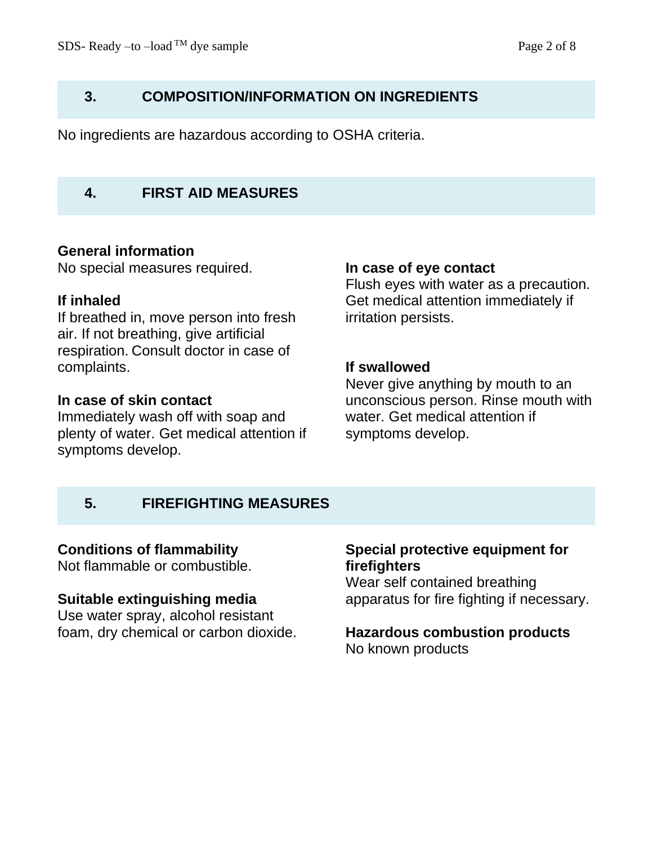### **3. COMPOSITION/INFORMATION ON INGREDIENTS**

No ingredients are hazardous according to OSHA criteria.

### **4. FIRST AID MEASURES**

#### **General information**

No special measures required.

#### **If inhaled**

If breathed in, move person into fresh air. If not breathing, give artificial respiration. Consult doctor in case of complaints.

#### **In case of skin contact**

Immediately wash off with soap and plenty of water. Get medical attention if symptoms develop.

#### **In case of eye contact**

Flush eyes with water as a precaution. Get medical attention immediately if irritation persists.

#### **If swallowed**

Never give anything by mouth to an unconscious person. Rinse mouth with water. Get medical attention if symptoms develop.

# **5. FIREFIGHTING MEASURES**

#### **Conditions of flammability**

Not flammable or combustible.

#### **Suitable extinguishing media**

Use water spray, alcohol resistant foam, dry chemical or carbon dioxide.

### **Special protective equipment for firefighters**

Wear self contained breathing apparatus for fire fighting if necessary.

# **Hazardous combustion products**

No known products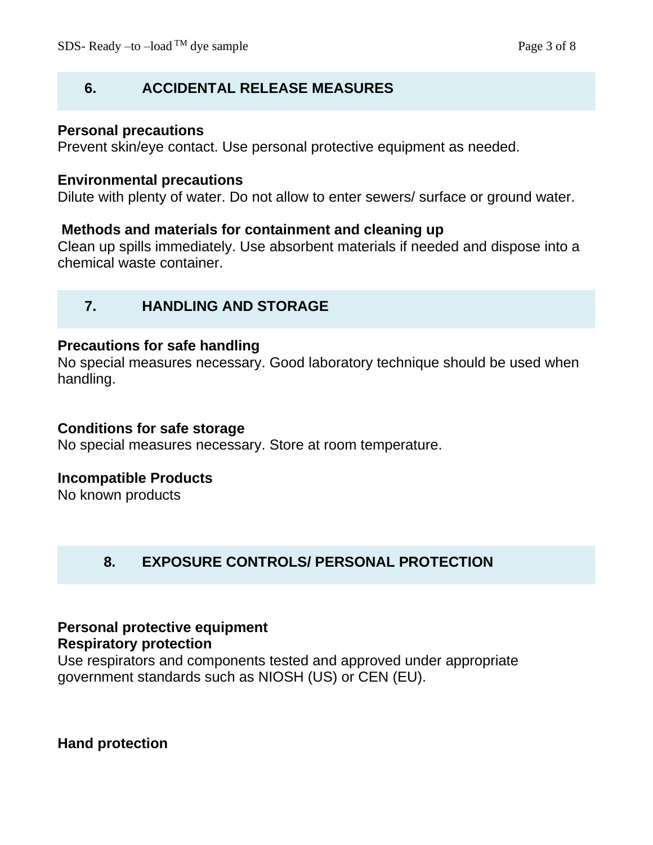# **6. ACCIDENTAL RELEASE MEASURES**

### **Personal precautions**

Prevent skin/eye contact. Use personal protective equipment as needed.

#### **Environmental precautions**

Dilute with plenty of water. Do not allow to enter sewers/ surface or ground water.

#### **Methods and materials for containment and cleaning up**

Clean up spills immediately. Use absorbent materials if needed and dispose into a chemical waste container.

# **7. HANDLING AND STORAGE**

#### **Precautions for safe handling**

No special measures necessary. Good laboratory technique should be used when handling.

#### **Conditions for safe storage**

No special measures necessary. Store at room temperature.

### **Incompatible Products**

No known products

# **8. EXPOSURE CONTROLS/ PERSONAL PROTECTION**

# **Personal protective equipment**

#### **Respiratory protection**

Use respirators and components tested and approved under appropriate government standards such as NIOSH (US) or CEN (EU).

**Hand protection**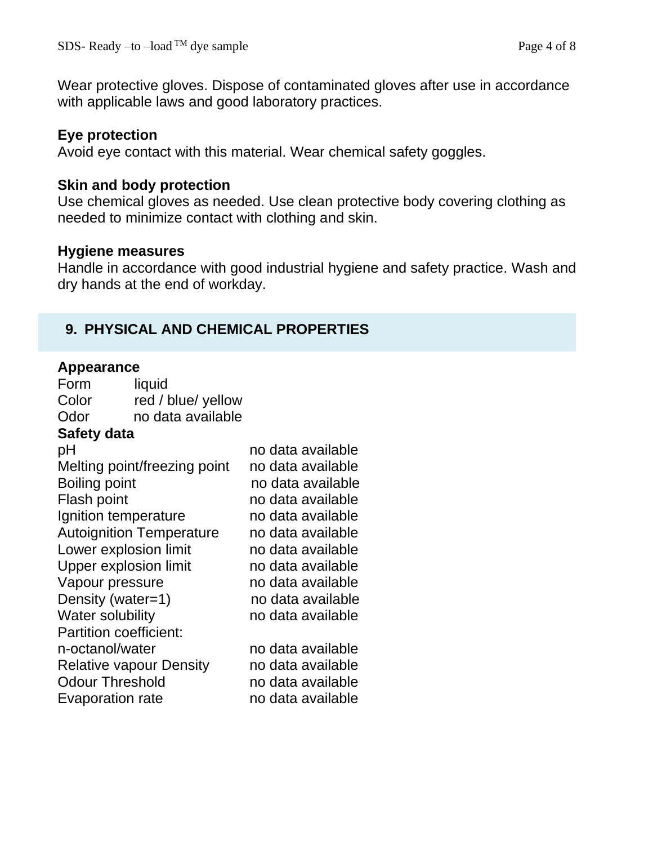Wear protective gloves. Dispose of contaminated gloves after use in accordance with applicable laws and good laboratory practices.

# **Eye protection**

Avoid eye contact with this material. Wear chemical safety goggles.

### **Skin and body protection**

Use chemical gloves as needed. Use clean protective body covering clothing as needed to minimize contact with clothing and skin.

#### **Hygiene measures**

Handle in accordance with good industrial hygiene and safety practice. Wash and dry hands at the end of workday.

# **9. PHYSICAL AND CHEMICAL PROPERTIES**

#### **Appearance**

| Appearance                      |                                |                   |
|---------------------------------|--------------------------------|-------------------|
| Form                            | liquid                         |                   |
| Color                           | red / blue/ yellow             |                   |
| Odor                            | no data available              |                   |
| Safety data                     |                                |                   |
| рH                              |                                | no data available |
|                                 | Melting point/freezing point   | no data available |
| Boiling point                   |                                | no data available |
| Flash point                     |                                | no data available |
| Ignition temperature            |                                | no data available |
| <b>Autoignition Temperature</b> |                                | no data available |
| Lower explosion limit           |                                | no data available |
| <b>Upper explosion limit</b>    |                                | no data available |
| Vapour pressure                 |                                | no data available |
| Density (water=1)               |                                | no data available |
| <b>Water solubility</b>         |                                | no data available |
| <b>Partition coefficient:</b>   |                                |                   |
| n-octanol/water                 |                                | no data available |
|                                 | <b>Relative vapour Density</b> | no data available |
| <b>Odour Threshold</b>          |                                | no data available |
| <b>Evaporation rate</b>         |                                | no data available |
|                                 |                                |                   |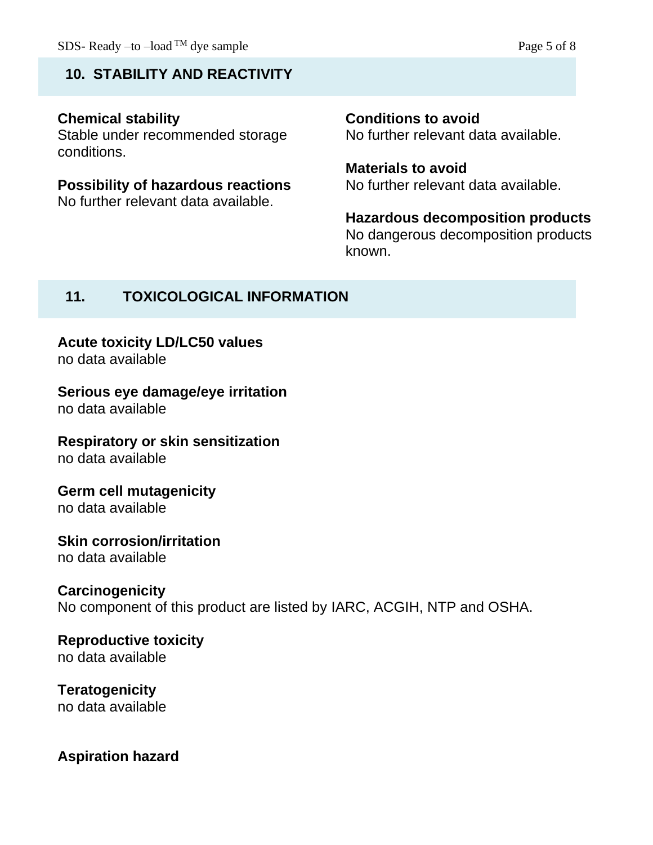# **10. STABILITY AND REACTIVITY**

# **Chemical stability**

Stable under recommended storage conditions.

#### **Possibility of hazardous reactions** No further relevant data available.

**Conditions to avoid** No further relevant data available.

**Materials to avoid** No further relevant data available.

**Hazardous decomposition products** No dangerous decomposition products known.

# **11. TOXICOLOGICAL INFORMATION**

# **Acute toxicity LD/LC50 values**

no data available

# **Serious eye damage/eye irritation**

no data available

# **Respiratory or skin sensitization**

no data available

### **Germ cell mutagenicity** no data available

### **Skin corrosion/irritation** no data available

# **Carcinogenicity**

No component of this product are listed by IARC, ACGIH, NTP and OSHA.

#### **Reproductive toxicity** no data available

# **Teratogenicity**

no data available

# **Aspiration hazard**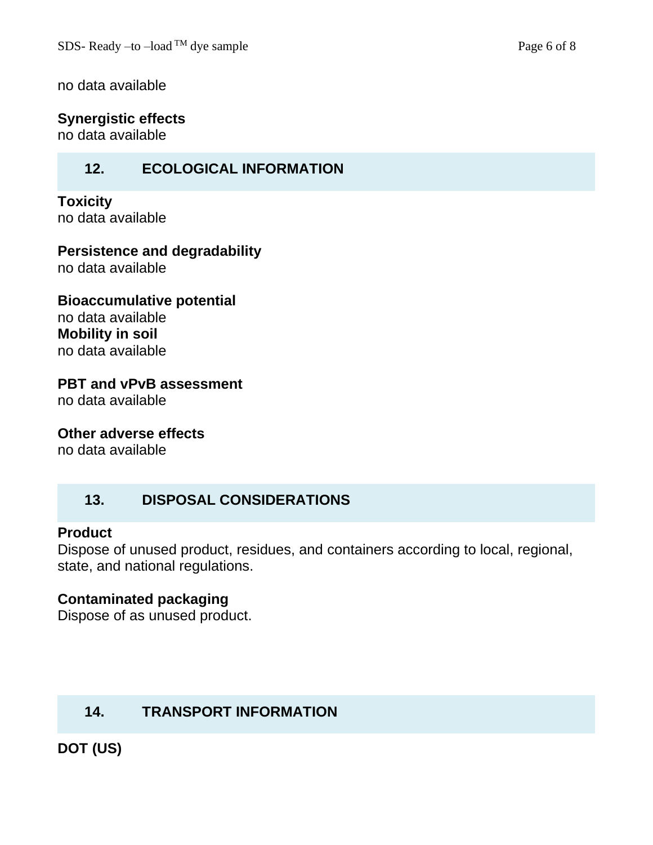no data available

### **Synergistic effects**

no data available

# **12. ECOLOGICAL INFORMATION**

**Toxicity** no data available

**Persistence and degradability**

no data available

**Bioaccumulative potential** no data available **Mobility in soil** no data available

**PBT and vPvB assessment**

no data available

**Other adverse effects**

no data available

# **13. DISPOSAL CONSIDERATIONS**

#### **Product**

Dispose of unused product, residues, and containers according to local, regional, state, and national regulations.

### **Contaminated packaging**

Dispose of as unused product.

# **14. TRANSPORT INFORMATION**

**DOT (US)**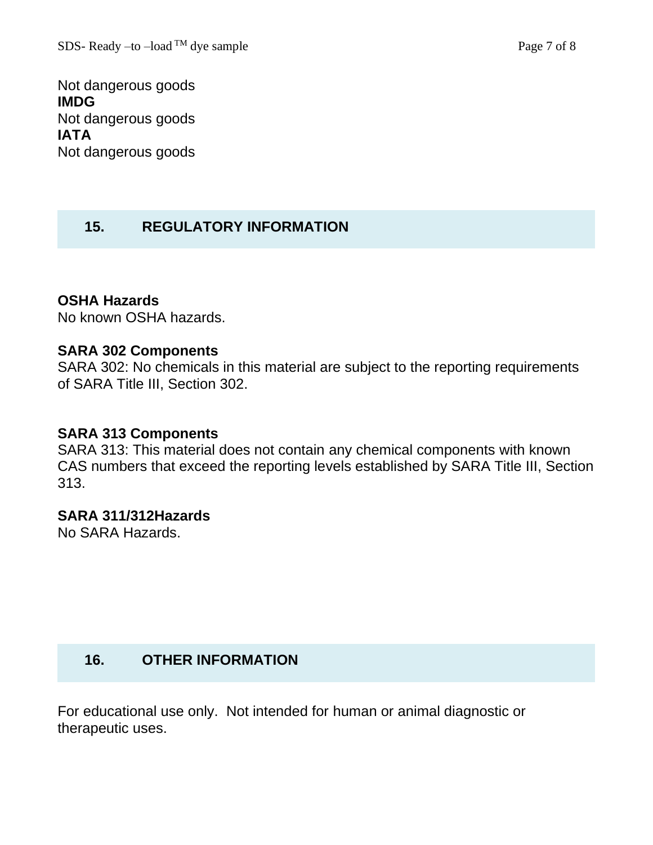Not dangerous goods **IMDG** Not dangerous goods **IATA** Not dangerous goods

# **15. REGULATORY INFORMATION**

#### **OSHA Hazards**

No known OSHA hazards.

#### **SARA 302 Components**

SARA 302: No chemicals in this material are subject to the reporting requirements of SARA Title III, Section 302.

#### **SARA 313 Components**

SARA 313: This material does not contain any chemical components with known CAS numbers that exceed the reporting levels established by SARA Title III, Section 313.

#### **SARA 311/312Hazards**

No SARA Hazards.

### **16. OTHER INFORMATION**

For educational use only. Not intended for human or animal diagnostic or therapeutic uses.